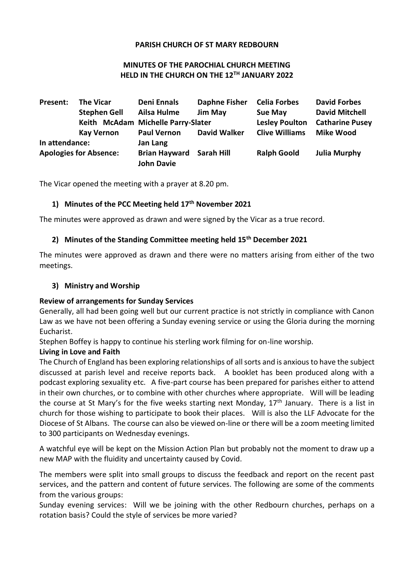#### **PARISH CHURCH OF ST MARY REDBOURN**

#### **MINUTES OF THE PAROCHIAL CHURCH MEETING HELD IN THE CHURCH ON THE 12TH JANUARY 2022**

| Present:                      | <b>The Vicar</b>    | <b>Deni Ennals</b>                                   | <b>Daphne Fisher</b> | <b>Celia Forbes</b>   | <b>David Forbes</b>    |
|-------------------------------|---------------------|------------------------------------------------------|----------------------|-----------------------|------------------------|
|                               | <b>Stephen Gell</b> | Ailsa Hulme                                          | <b>Jim May</b>       | Sue May               | <b>David Mitchell</b>  |
|                               |                     | Keith McAdam Michelle Parry-Slater                   |                      | <b>Lesley Poulton</b> | <b>Catharine Pusey</b> |
|                               | <b>Kay Vernon</b>   | <b>Paul Vernon</b>                                   | <b>David Walker</b>  | <b>Clive Williams</b> | <b>Mike Wood</b>       |
| In attendance:                |                     | Jan Lang                                             |                      |                       |                        |
| <b>Apologies for Absence:</b> |                     | <b>Brian Hayward Sarah Hill</b><br><b>John Davie</b> |                      | <b>Ralph Goold</b>    | <b>Julia Murphy</b>    |

The Vicar opened the meeting with a prayer at 8.20 pm.

### **1) Minutes of the PCC Meeting held 17th November 2021**

The minutes were approved as drawn and were signed by the Vicar as a true record.

#### **2) Minutes of the Standing Committee meeting held 15th December 2021**

The minutes were approved as drawn and there were no matters arising from either of the two meetings.

#### **3) Ministry and Worship**

#### **Review of arrangements for Sunday Services**

Generally, all had been going well but our current practice is not strictly in compliance with Canon Law as we have not been offering a Sunday evening service or using the Gloria during the morning Eucharist.

Stephen Boffey is happy to continue his sterling work filming for on-line worship.

#### **Living in Love and Faith**

The Church of England has been exploring relationships of all sorts and is anxious to have the subject discussed at parish level and receive reports back. A booklet has been produced along with a podcast exploring sexuality etc. A five-part course has been prepared for parishes either to attend in their own churches, or to combine with other churches where appropriate. Will will be leading the course at St Mary's for the five weeks starting next Monday,  $17<sup>th</sup>$  January. There is a list in church for those wishing to participate to book their places. Will is also the LLF Advocate for the Diocese of St Albans. The course can also be viewed on-line or there will be a zoom meeting limited to 300 participants on Wednesday evenings.

A watchful eye will be kept on the Mission Action Plan but probably not the moment to draw up a new MAP with the fluidity and uncertainty caused by Covid.

The members were split into small groups to discuss the feedback and report on the recent past services, and the pattern and content of future services. The following are some of the comments from the various groups:

Sunday evening services: Will we be joining with the other Redbourn churches, perhaps on a rotation basis? Could the style of services be more varied?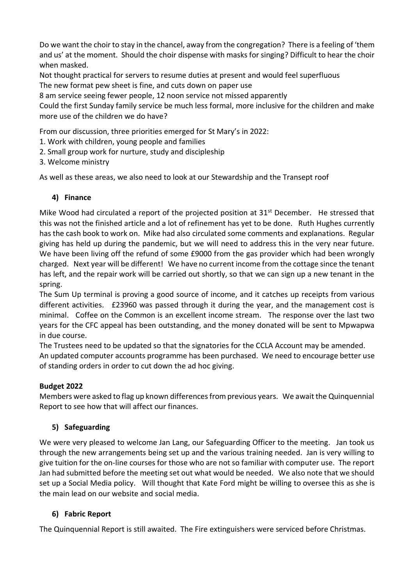Do we want the choir to stay in the chancel, away from the congregation? There is a feeling of 'them and us' at the moment. Should the choir dispense with masks for singing? Difficult to hear the choir when masked.

Not thought practical for servers to resume duties at present and would feel superfluous The new format pew sheet is fine, and cuts down on paper use

8 am service seeing fewer people, 12 noon service not missed apparently

Could the first Sunday family service be much less formal, more inclusive for the children and make more use of the children we do have?

From our discussion, three priorities emerged for St Mary's in 2022:

- 1. Work with children, young people and families
- 2. Small group work for nurture, study and discipleship
- 3. Welcome ministry

As well as these areas, we also need to look at our Stewardship and the Transept roof

# **4) Finance**

Mike Wood had circulated a report of the projected position at 31<sup>st</sup> December. He stressed that this was not the finished article and a lot of refinement has yet to be done. Ruth Hughes currently has the cash book to work on. Mike had also circulated some comments and explanations. Regular giving has held up during the pandemic, but we will need to address this in the very near future. We have been living off the refund of some £9000 from the gas provider which had been wrongly charged. Next year will be different! We have no current income from the cottage since the tenant has left, and the repair work will be carried out shortly, so that we can sign up a new tenant in the spring.

The Sum Up terminal is proving a good source of income, and it catches up receipts from various different activities. £23960 was passed through it during the year, and the management cost is minimal. Coffee on the Common is an excellent income stream. The response over the last two years for the CFC appeal has been outstanding, and the money donated will be sent to Mpwapwa in due course.

The Trustees need to be updated so that the signatories for the CCLA Account may be amended. An updated computer accounts programme has been purchased. We need to encourage better use of standing orders in order to cut down the ad hoc giving.

### **Budget 2022**

Members were asked to flag up known differences from previous years. We await the Quinquennial Report to see how that will affect our finances.

# **5) Safeguarding**

We were very pleased to welcome Jan Lang, our Safeguarding Officer to the meeting. Jan took us through the new arrangements being set up and the various training needed. Jan is very willing to give tuition for the on-line courses for those who are not so familiar with computer use. The report Jan had submitted before the meeting set out what would be needed. We also note that we should set up a Social Media policy. Will thought that Kate Ford might be willing to oversee this as she is the main lead on our website and social media.

# **6) Fabric Report**

The Quinquennial Report is still awaited. The Fire extinguishers were serviced before Christmas.